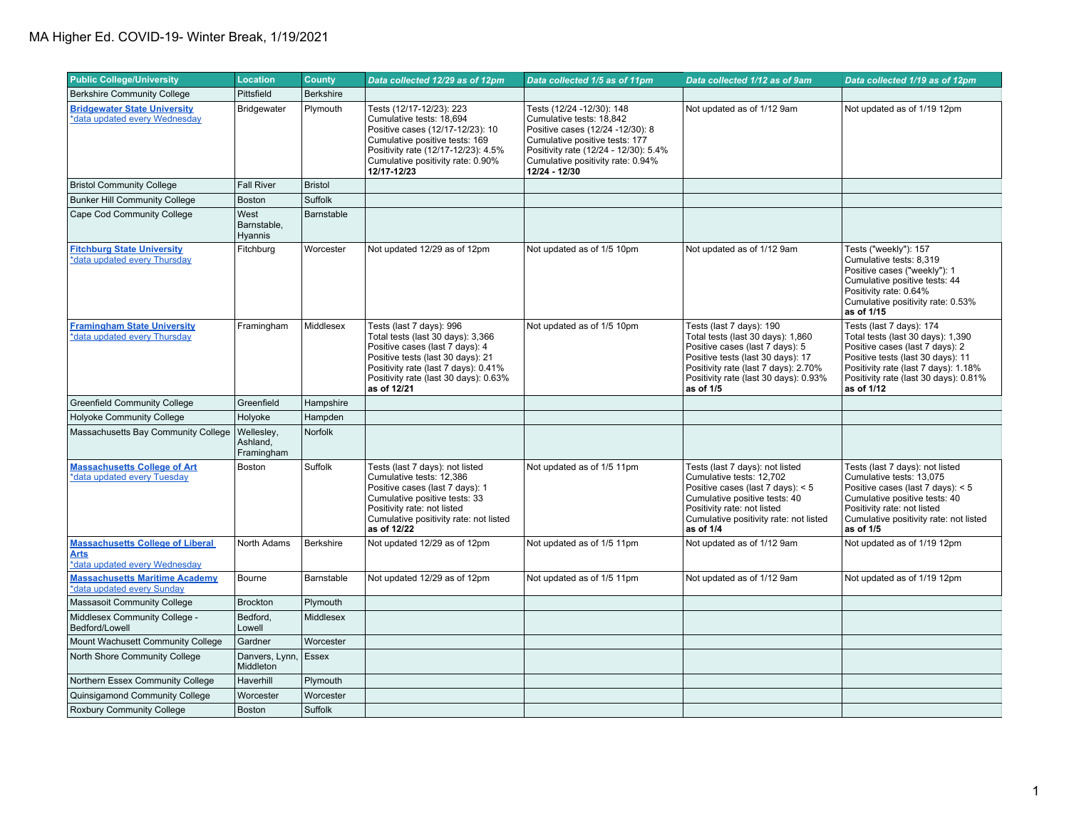| <b>Public College/University</b>                                                        | <b>Location</b>                      | <b>County</b>    | Data collected 12/29 as of 12pm                                                                                                                                                                                                       | Data collected 1/5 as of 11pm                                                                                                                                                                                              | Data collected 1/12 as of 9am                                                                                                                                                                                                       | Data collected 1/19 as of 12pm                                                                                                                                                                                                       |
|-----------------------------------------------------------------------------------------|--------------------------------------|------------------|---------------------------------------------------------------------------------------------------------------------------------------------------------------------------------------------------------------------------------------|----------------------------------------------------------------------------------------------------------------------------------------------------------------------------------------------------------------------------|-------------------------------------------------------------------------------------------------------------------------------------------------------------------------------------------------------------------------------------|--------------------------------------------------------------------------------------------------------------------------------------------------------------------------------------------------------------------------------------|
| <b>Berkshire Community College</b>                                                      | Pittsfield                           | <b>Berkshire</b> |                                                                                                                                                                                                                                       |                                                                                                                                                                                                                            |                                                                                                                                                                                                                                     |                                                                                                                                                                                                                                      |
| <b>Bridgewater State University</b><br>*data updated every Wednesday                    | Bridgewater                          | Plymouth         | Tests (12/17-12/23): 223<br>Cumulative tests: 18,694<br>Positive cases (12/17-12/23): 10<br>Cumulative positive tests: 169<br>Positivity rate (12/17-12/23): 4.5%<br>Cumulative positivity rate: 0.90%<br>12/17-12/23                 | Tests (12/24 -12/30): 148<br>Cumulative tests: 18,842<br>Positive cases (12/24 -12/30): 8<br>Cumulative positive tests: 177<br>Positivity rate (12/24 - 12/30): 5.4%<br>Cumulative positivity rate: 0.94%<br>12/24 - 12/30 | Not updated as of 1/12 9am                                                                                                                                                                                                          | Not updated as of 1/19 12pm                                                                                                                                                                                                          |
| <b>Bristol Community College</b>                                                        | <b>Fall River</b>                    | <b>Bristol</b>   |                                                                                                                                                                                                                                       |                                                                                                                                                                                                                            |                                                                                                                                                                                                                                     |                                                                                                                                                                                                                                      |
| <b>Bunker Hill Community College</b>                                                    | Boston                               | Suffolk          |                                                                                                                                                                                                                                       |                                                                                                                                                                                                                            |                                                                                                                                                                                                                                     |                                                                                                                                                                                                                                      |
| Cape Cod Community College                                                              | West<br>Barnstable,<br>Hyannis       | Barnstable       |                                                                                                                                                                                                                                       |                                                                                                                                                                                                                            |                                                                                                                                                                                                                                     |                                                                                                                                                                                                                                      |
| <b>Fitchburg State University</b><br>*data updated every Thursday                       | Fitchburg                            | Worcester        | Not updated 12/29 as of 12pm                                                                                                                                                                                                          | Not updated as of 1/5 10pm                                                                                                                                                                                                 | Not updated as of 1/12 9am                                                                                                                                                                                                          | Tests ("weekly"): 157<br>Cumulative tests: 8,319<br>Positive cases ("weekly"): 1<br>Cumulative positive tests: 44<br>Positivity rate: 0.64%<br>Cumulative positivity rate: 0.53%<br>as of 1/15                                       |
| <b>Framingham State University</b><br>*data updated every Thursday                      | Framingham                           | Middlesex        | Tests (last 7 days): 996<br>Total tests (last 30 days): 3,366<br>Positive cases (last 7 days): 4<br>Positive tests (last 30 days): 21<br>Positivity rate (last 7 days): 0.41%<br>Positivity rate (last 30 days): 0.63%<br>as of 12/21 | Not updated as of 1/5 10pm                                                                                                                                                                                                 | Tests (last 7 days): 190<br>Total tests (last 30 days): 1,860<br>Positive cases (last 7 days): 5<br>Positive tests (last 30 days): 17<br>Positivity rate (last 7 days): 2.70%<br>Positivity rate (last 30 days): 0.93%<br>as of 1/5 | Tests (last 7 days): 174<br>Total tests (last 30 days): 1,390<br>Positive cases (last 7 days): 2<br>Positive tests (last 30 days): 11<br>Positivity rate (last 7 days): 1.18%<br>Positivity rate (last 30 days): 0.81%<br>as of 1/12 |
| <b>Greenfield Community College</b>                                                     | Greenfield                           | Hampshire        |                                                                                                                                                                                                                                       |                                                                                                                                                                                                                            |                                                                                                                                                                                                                                     |                                                                                                                                                                                                                                      |
| <b>Holyoke Community College</b>                                                        | Holyoke                              | Hampden          |                                                                                                                                                                                                                                       |                                                                                                                                                                                                                            |                                                                                                                                                                                                                                     |                                                                                                                                                                                                                                      |
| Massachusetts Bay Community College                                                     | Wellesley,<br>Ashland,<br>Framingham | Norfolk          |                                                                                                                                                                                                                                       |                                                                                                                                                                                                                            |                                                                                                                                                                                                                                     |                                                                                                                                                                                                                                      |
| <b>Massachusetts College of Art</b><br>*data updated every Tuesday                      | Boston                               | Suffolk          | Tests (last 7 days): not listed<br>Cumulative tests: 12,386<br>Positive cases (last 7 days): 1<br>Cumulative positive tests: 33<br>Positivity rate: not listed<br>Cumulative positivity rate: not listed<br>as of 12/22               | Not updated as of 1/5 11pm                                                                                                                                                                                                 | Tests (last 7 days): not listed<br>Cumulative tests: 12,702<br>Positive cases (last 7 days): < 5<br>Cumulative positive tests: 40<br>Positivity rate: not listed<br>Cumulative positivity rate: not listed<br>as of 1/4             | Tests (last 7 days): not listed<br>Cumulative tests: 13,075<br>Positive cases (last 7 days): $< 5$<br>Cumulative positive tests: 40<br>Positivity rate: not listed<br>Cumulative positivity rate: not listed<br>as of 1/5            |
| <b>Massachusetts College of Liberal</b><br><u>Arts</u><br>*data updated every Wednesday | North Adams                          | Berkshire        | Not updated 12/29 as of 12pm                                                                                                                                                                                                          | Not updated as of 1/5 11pm                                                                                                                                                                                                 | Not updated as of 1/12 9am                                                                                                                                                                                                          | Not updated as of 1/19 12pm                                                                                                                                                                                                          |
| <b>Massachusetts Maritime Academy</b><br>*data updated every Sunday                     | Bourne                               | Barnstable       | Not updated 12/29 as of 12pm                                                                                                                                                                                                          | Not updated as of 1/5 11pm                                                                                                                                                                                                 | Not updated as of 1/12 9am                                                                                                                                                                                                          | Not updated as of 1/19 12pm                                                                                                                                                                                                          |
| Massasoit Community College                                                             | <b>Brockton</b>                      | Plymouth         |                                                                                                                                                                                                                                       |                                                                                                                                                                                                                            |                                                                                                                                                                                                                                     |                                                                                                                                                                                                                                      |
| Middlesex Community College -<br>Bedford/Lowell                                         | Bedford.<br>Lowell                   | Middlesex        |                                                                                                                                                                                                                                       |                                                                                                                                                                                                                            |                                                                                                                                                                                                                                     |                                                                                                                                                                                                                                      |
| Mount Wachusett Community College                                                       | Gardner                              | Worcester        |                                                                                                                                                                                                                                       |                                                                                                                                                                                                                            |                                                                                                                                                                                                                                     |                                                                                                                                                                                                                                      |
| North Shore Community College                                                           | Danvers, Lynn, Essex<br>Middleton    |                  |                                                                                                                                                                                                                                       |                                                                                                                                                                                                                            |                                                                                                                                                                                                                                     |                                                                                                                                                                                                                                      |
| Northern Essex Community College                                                        | Haverhill                            | Plymouth         |                                                                                                                                                                                                                                       |                                                                                                                                                                                                                            |                                                                                                                                                                                                                                     |                                                                                                                                                                                                                                      |
| Quinsigamond Community College                                                          | Worcester                            | Worcester        |                                                                                                                                                                                                                                       |                                                                                                                                                                                                                            |                                                                                                                                                                                                                                     |                                                                                                                                                                                                                                      |
| <b>Roxbury Community College</b>                                                        | <b>Boston</b>                        | Suffolk          |                                                                                                                                                                                                                                       |                                                                                                                                                                                                                            |                                                                                                                                                                                                                                     |                                                                                                                                                                                                                                      |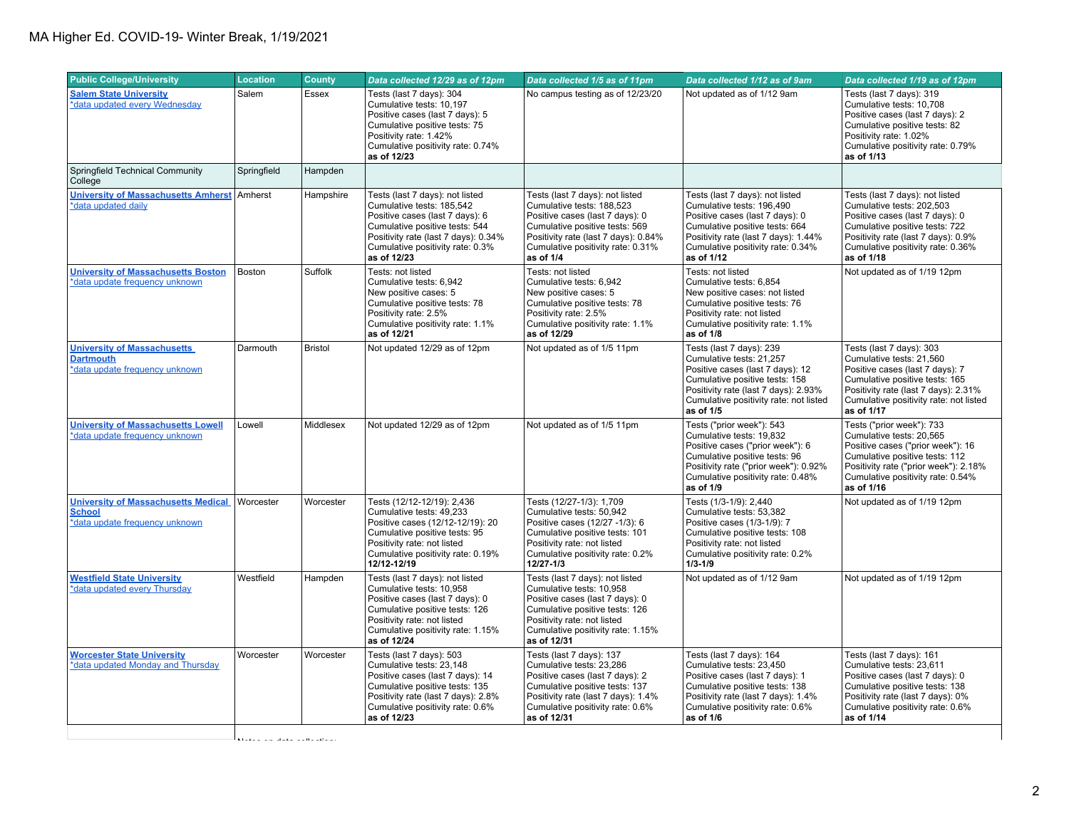## MA Higher Ed. COVID-19- Winter Break, 1/19/2021

| <b>Public College/University</b>                                                              | <b>Location</b> | <b>County</b>                 | Data collected 12/29 as of 12pm                                                                                                                                                                                              | Data collected 1/5 as of 11pm                                                                                                                                                                                               | Data collected 1/12 as of 9am                                                                                                                                                                                                | Data collected 1/19 as of 12pm                                                                                                                                                                                              |
|-----------------------------------------------------------------------------------------------|-----------------|-------------------------------|------------------------------------------------------------------------------------------------------------------------------------------------------------------------------------------------------------------------------|-----------------------------------------------------------------------------------------------------------------------------------------------------------------------------------------------------------------------------|------------------------------------------------------------------------------------------------------------------------------------------------------------------------------------------------------------------------------|-----------------------------------------------------------------------------------------------------------------------------------------------------------------------------------------------------------------------------|
| <b>Salem State University</b><br>*data updated every Wednesday                                | Salem           | <b>Essex</b>                  | Tests (last 7 days): 304<br>Cumulative tests: 10,197<br>Positive cases (last 7 days): 5<br>Cumulative positive tests: 75<br>Positivity rate: 1.42%<br>Cumulative positivity rate: 0.74%<br>as of 12/23                       | No campus testing as of 12/23/20                                                                                                                                                                                            | Not updated as of 1/12 9am                                                                                                                                                                                                   | Tests (last 7 days): 319<br>Cumulative tests: 10,708<br>Positive cases (last 7 days): 2<br>Cumulative positive tests: 82<br>Positivity rate: 1.02%<br>Cumulative positivity rate: 0.79%<br>as of 1/13                       |
| Springfield Technical Community<br>College                                                    | Springfield     | Hampden                       |                                                                                                                                                                                                                              |                                                                                                                                                                                                                             |                                                                                                                                                                                                                              |                                                                                                                                                                                                                             |
| <b>University of Massachusetts Amherst</b><br>*data updated daily                             | Amherst         | Hampshire                     | Tests (last 7 days): not listed<br>Cumulative tests: 185.542<br>Positive cases (last 7 days): 6<br>Cumulative positive tests: 544<br>Positivity rate (last 7 days): 0.34%<br>Cumulative positivity rate: 0.3%<br>as of 12/23 | Tests (last 7 days): not listed<br>Cumulative tests: 188.523<br>Positive cases (last 7 days): 0<br>Cumulative positive tests: 569<br>Positivity rate (last 7 days): 0.84%<br>Cumulative positivity rate: 0.31%<br>as of 1/4 | Tests (last 7 days): not listed<br>Cumulative tests: 196.490<br>Positive cases (last 7 days): 0<br>Cumulative positive tests: 664<br>Positivity rate (last 7 days): 1.44%<br>Cumulative positivity rate: 0.34%<br>as of 1/12 | Tests (last 7 days): not listed<br>Cumulative tests: 202.503<br>Positive cases (last 7 days): 0<br>Cumulative positive tests: 722<br>Positivity rate (last 7 days): 0.9%<br>Cumulative positivity rate: 0.36%<br>as of 1/18 |
| <b>University of Massachusetts Boston</b><br>*data update frequency unknown                   | Boston          | Suffolk                       | Tests: not listed<br>Cumulative tests: 6,942<br>New positive cases: 5<br>Cumulative positive tests: 78<br>Positivity rate: 2.5%<br>Cumulative positivity rate: 1.1%<br>as of 12/21                                           | Tests: not listed<br>Cumulative tests: 6,942<br>New positive cases: 5<br>Cumulative positive tests: 78<br>Positivity rate: 2.5%<br>Cumulative positivity rate: 1.1%<br>as of 12/29                                          | Tests: not listed<br>Cumulative tests: 6,854<br>New positive cases: not listed<br>Cumulative positive tests: 76<br>Positivity rate: not listed<br>Cumulative positivity rate: 1.1%<br>as of 1/8                              | Not updated as of 1/19 12pm                                                                                                                                                                                                 |
| <b>University of Massachusetts</b><br><b>Dartmouth</b><br>*data update frequency unknown      | Darmouth        | <b>Bristol</b>                | Not updated 12/29 as of 12pm                                                                                                                                                                                                 | Not updated as of 1/5 11pm                                                                                                                                                                                                  | Tests (last 7 days): 239<br>Cumulative tests: 21.257<br>Positive cases (last 7 days): 12<br>Cumulative positive tests: 158<br>Positivity rate (last 7 days): 2.93%<br>Cumulative positivity rate: not listed<br>as of 1/5    | Tests (last 7 days): 303<br>Cumulative tests: 21,560<br>Positive cases (last 7 days): 7<br>Cumulative positive tests: 165<br>Positivity rate (last 7 days): 2.31%<br>Cumulative positivity rate: not listed<br>as of 1/17   |
| <b>University of Massachusetts Lowell</b><br>*data update frequency unknown                   | Lowell          | Middlesex                     | Not updated 12/29 as of 12pm                                                                                                                                                                                                 | Not updated as of 1/5 11pm                                                                                                                                                                                                  | Tests ("prior week"): 543<br>Cumulative tests: 19,832<br>Positive cases ("prior week"): 6<br>Cumulative positive tests: 96<br>Positivity rate ("prior week"): 0.92%<br>Cumulative positivity rate: 0.48%<br>as of 1/9        | Tests ("prior week"): 733<br>Cumulative tests: 20,565<br>Positive cases ("prior week"): 16<br>Cumulative positive tests: 112<br>Positivity rate ("prior week"): 2.18%<br>Cumulative positivity rate: 0.54%<br>as of 1/16    |
| <b>University of Massachusetts Medical</b><br><b>School</b><br>*data update frequency unknown | Worcester       | Worcester                     | Tests (12/12-12/19): 2,436<br>Cumulative tests: 49,233<br>Positive cases (12/12-12/19): 20<br>Cumulative positive tests: 95<br>Positivity rate: not listed<br>Cumulative positivity rate: 0.19%<br>12/12-12/19               | Tests (12/27-1/3): 1,709<br>Cumulative tests: 50,942<br>Positive cases (12/27 -1/3): 6<br>Cumulative positive tests: 101<br>Positivity rate: not listed<br>Cumulative positivity rate: 0.2%<br>12/27-1/3                    | Tests (1/3-1/9): 2,440<br>Cumulative tests: 53,382<br>Positive cases (1/3-1/9): 7<br>Cumulative positive tests: 108<br>Positivity rate: not listed<br>Cumulative positivity rate: 0.2%<br>$1/3 - 1/9$                        | Not updated as of 1/19 12pm                                                                                                                                                                                                 |
| <b>Westfield State University</b><br>*data updated every Thursday                             | Westfield       | Hampden                       | Tests (last 7 days): not listed<br>Cumulative tests: 10,958<br>Positive cases (last 7 days): 0<br>Cumulative positive tests: 126<br>Positivity rate: not listed<br>Cumulative positivity rate: 1.15%<br>as of 12/24          | Tests (last 7 days): not listed<br>Cumulative tests: 10,958<br>Positive cases (last 7 days): 0<br>Cumulative positive tests: 126<br>Positivity rate: not listed<br>Cumulative positivity rate: 1.15%<br>as of 12/31         | Not updated as of 1/12 9am                                                                                                                                                                                                   | Not updated as of 1/19 12pm                                                                                                                                                                                                 |
| <b>Worcester State University</b><br>*data updated Monday and Thursday                        | Worcester       | Worcester                     | Tests (last 7 days): 503<br>Cumulative tests: 23,148<br>Positive cases (last 7 days): 14<br>Cumulative positive tests: 135<br>Positivity rate (last 7 days): 2.8%<br>Cumulative positivity rate: 0.6%<br>as of 12/23         | Tests (last 7 days): 137<br>Cumulative tests: 23,286<br>Positive cases (last 7 days): 2<br>Cumulative positive tests: 137<br>Positivity rate (last 7 days): 1.4%<br>Cumulative positivity rate: 0.6%<br>as of 12/31         | Tests (last 7 days): 164<br>Cumulative tests: 23,450<br>Positive cases (last 7 days): 1<br>Cumulative positive tests: 138<br>Positivity rate (last 7 days): 1.4%<br>Cumulative positivity rate: 0.6%<br>as of 1/6            | Tests (last 7 days): 161<br>Cumulative tests: 23,611<br>Positive cases (last 7 days): 0<br>Cumulative positive tests: 138<br>Positivity rate (last 7 days): 0%<br>Cumulative positivity rate: 0.6%<br>as of 1/14            |
|                                                                                               |                 | $\mathbf{u}$ and $\mathbf{u}$ |                                                                                                                                                                                                                              |                                                                                                                                                                                                                             |                                                                                                                                                                                                                              |                                                                                                                                                                                                                             |